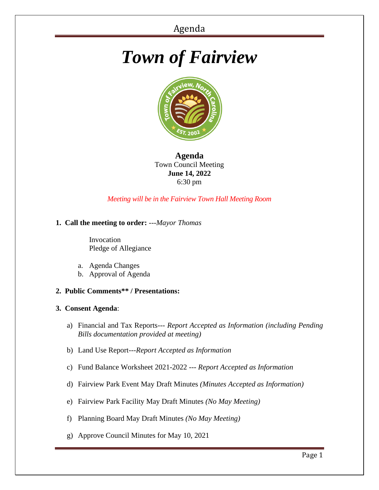# *Town of Fairview*



**Agenda** Town Council Meeting **June 14, 2022** 6:30 pm

*Meeting will be in the Fairview Town Hall Meeting Room*

# **1. Call the meeting to order:** *---Mayor Thomas*

 Invocation Pledge of Allegiance

- a. Agenda Changes
- b. Approval of Agenda
- **2. Public Comments\*\* / Presentations:**

# **3. Consent Agenda**:

- a) Financial and Tax Reports--- *Report Accepted as Information (including Pending Bills documentation provided at meeting)*
- b) Land Use Report---*Report Accepted as Information*
- c) Fund Balance Worksheet 2021-2022 --- *Report Accepted as Information*
- d) Fairview Park Event May Draft Minutes *(Minutes Accepted as Information)*
- e) Fairview Park Facility May Draft Minutes *(No May Meeting)*
- f) Planning Board May Draft Minutes *(No May Meeting)*
- g) Approve Council Minutes for May 10, 2021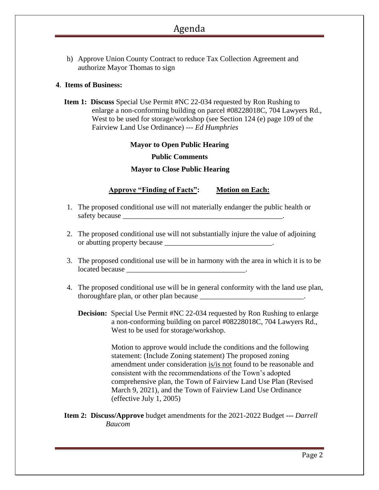# Agenda

h) Approve Union County Contract to reduce Tax Collection Agreement and authorize Mayor Thomas to sign

## **4**. **Items of Business:**

**Item 1: Discuss** Special Use Permit #NC 22-034 requested by Ron Rushing to enlarge a non-conforming building on parcel #08228018C, 704 Lawyers Rd., West to be used for storage/workshop (see Section 124 (e) page 109 of the Fairview Land Use Ordinance) --- *Ed Humphries*

# **Mayor to Open Public Hearing Public Comments**

#### **Mayor to Close Public Hearing**

# **Approve "Finding of Facts": Motion on Each:**

- 1. The proposed conditional use will not materially endanger the public health or safety because
- 2. The proposed conditional use will not substantially injure the value of adjoining or abutting property because \_\_\_\_\_\_\_\_\_\_\_\_\_\_\_\_\_\_\_\_\_\_\_\_\_\_\_\_\_.
- 3. The proposed conditional use will be in harmony with the area in which it is to be located because
- 4. The proposed conditional use will be in general conformity with the land use plan, thoroughfare plan, or other plan because \_\_\_\_\_\_\_\_\_\_\_\_\_\_\_\_\_\_\_\_\_\_\_\_\_\_\_\_\_\_\_\_\_.
	- **Decision:** Special Use Permit #NC 22-034 requested by Ron Rushing to enlarge a non-conforming building on parcel #08228018C, 704 Lawyers Rd., West to be used for storage/workshop.

Motion to approve would include the conditions and the following statement: (Include Zoning statement) The proposed zoning amendment under consideration is/is not found to be reasonable and consistent with the recommendations of the Town's adopted comprehensive plan, the Town of Fairview Land Use Plan (Revised March 9, 2021), and the Town of Fairview Land Use Ordinance (effective July 1, 2005)

## **Item 2: Discuss/Approve** budget amendments for the 2021-2022 Budget **---** *Darrell Baucom*